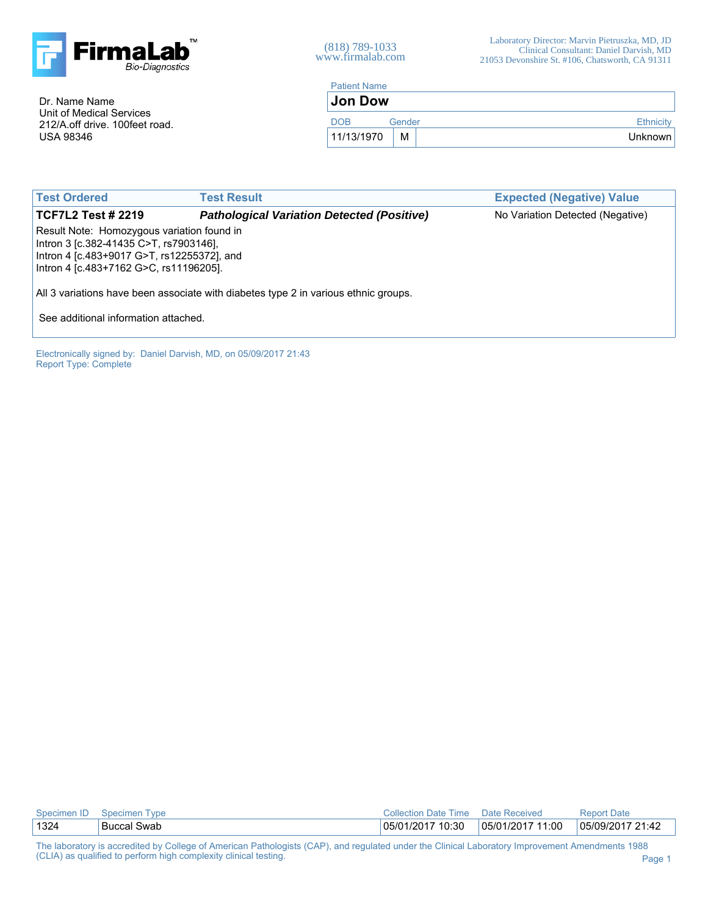

(818) 789-1033 www.firmalab.com

Dr. Name Name Unit of Medical Services 212/A.off drive. 100feet road. USA 98346

| <b>Patient Name</b>  |   |  |           |  |  |  |  |
|----------------------|---|--|-----------|--|--|--|--|
| <b>Jon Dow</b>       |   |  |           |  |  |  |  |
| <b>DOB</b><br>Gender |   |  | Ethnicity |  |  |  |  |
| 11/13/1970           | М |  | Unknown   |  |  |  |  |

| <b>Test Ordered</b>                                                                                                                                                          | <b>Test Result</b>                                | <b>Expected (Negative) Value</b> |  |  |  |  |  |  |  |
|------------------------------------------------------------------------------------------------------------------------------------------------------------------------------|---------------------------------------------------|----------------------------------|--|--|--|--|--|--|--|
| <b>TCF7L2 Test # 2219</b>                                                                                                                                                    | <b>Pathological Variation Detected (Positive)</b> | No Variation Detected (Negative) |  |  |  |  |  |  |  |
| Result Note: Homozygous variation found in<br>Intron 3 [c.382-41435 C>T, rs7903146],<br>Intron 4 [c.483+9017 G>T, rs12255372], and<br>Intron 4 [c.483+7162 G>C, rs11196205]. |                                                   |                                  |  |  |  |  |  |  |  |
| All 3 variations have been associate with diabetes type 2 in various ethnic groups.                                                                                          |                                                   |                                  |  |  |  |  |  |  |  |
| See additional information attached.                                                                                                                                         |                                                   |                                  |  |  |  |  |  |  |  |

Electronically signed by: Daniel Darvish, MD, on 05/09/2017 21:43 Report Type: Complete

| Specimen ID | Specimen Type            | Collection Date Time | Date Received    | <b>Report Date</b> |
|-------------|--------------------------|----------------------|------------------|--------------------|
| 1324        | <sup>1</sup> Buccal Swab | 05/01/2017 10:30     | 05/01/2017 11:00 | 05/09/2017 21:42   |

The laboratory is accredited by College of American Pathologists (CAP), and regulated under the Clinical Laboratory Improvement Amendments 1988 (CLIA) as qualified to perform high complexity clinical testing. **Page 1** and the state of the state of the state of the state of the state of the state of the state of the state of the state of the state of the state of t